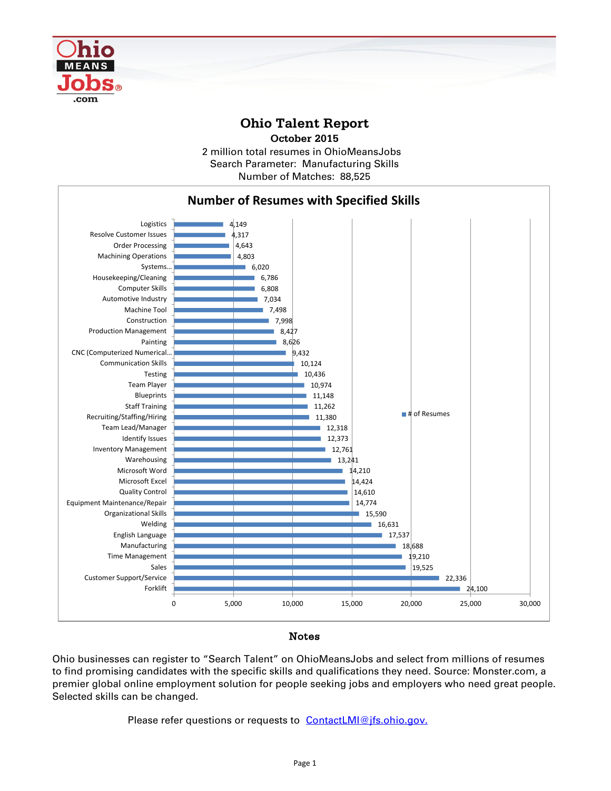

## **Ohio Talent Report**

2 million total resumes in OhioMeansJobs Number of Matches: 88,525 **October 2015** Search Parameter: Manufacturing Skills



## **Notes**

Ohio businesses can register to "Search Talent" on OhioMeansJobs and select from millions of resumes to find promising candidates with the specific skills and qualifications they need. Source: Monster.com, a premier global online employment solution for people seeking jobs and employers who need great people. Selected skills can be changed.

Please refer questions or requests to [ContactLMI@jfs.ohio.gov.](mailto:ContactLMI@jfs.ohio.gov.)